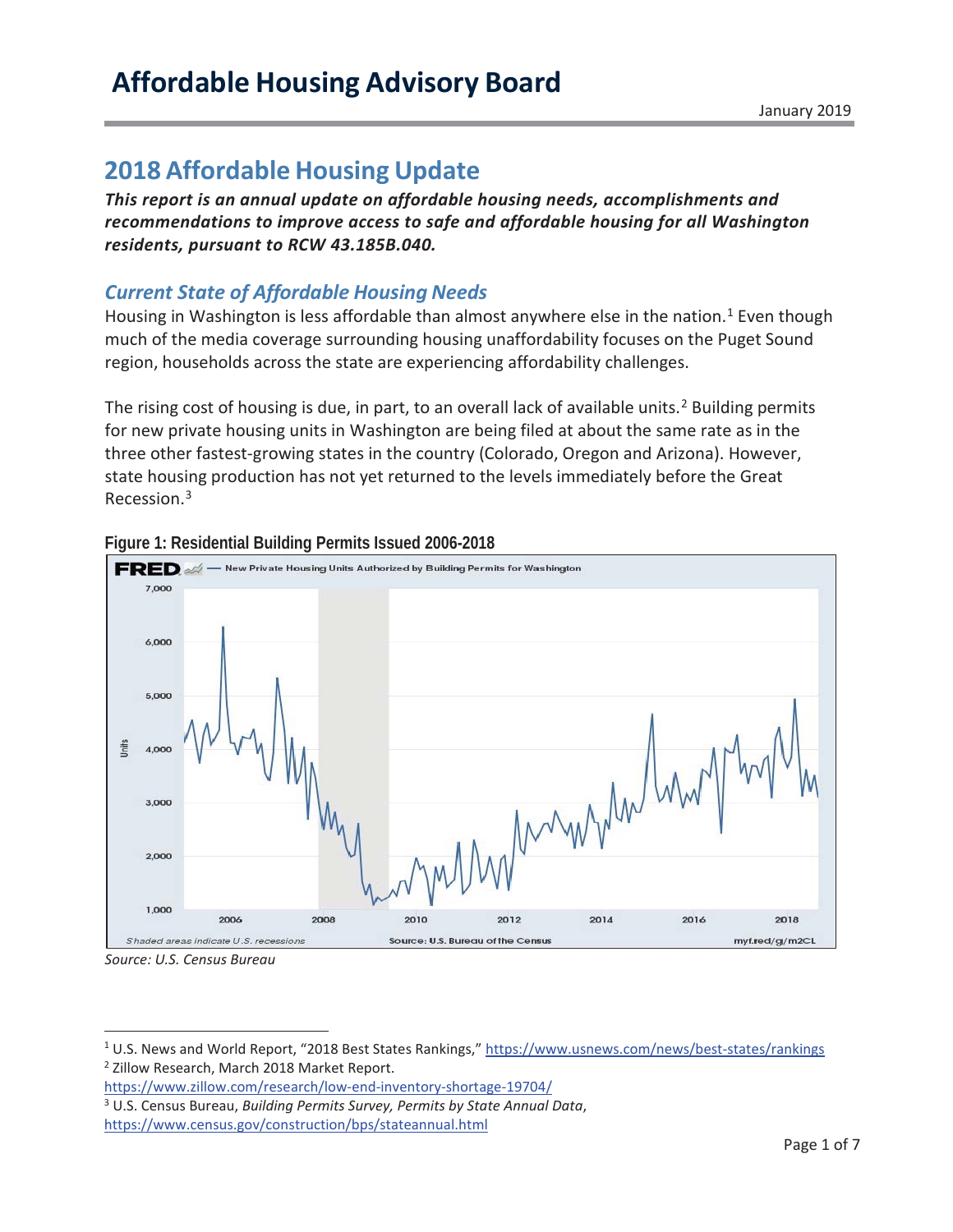# **Affordable Housing Advisory Board**

## **2018 Affordable Housing Update**

*This report is an annual update on affordable housing needs, accomplishments and recommendations to improve access to safe and affordable housing for all Washington residents, pursuant to RCW 43.185B.040.* 

## *Current State of Affordable Housing Needs*

Housing in Washington is less affordable than almost anywhere else in the nation.<sup>1</sup> Even though much of the media coverage surrounding housing unaffordability focuses on the Puget Sound region, households across the state are experiencing affordability challenges.

The rising cost of housing is due, in part, to an overall lack of available units.<sup>2</sup> Building permits for new private housing units in Washington are being filed at about the same rate as in the three other fastest-growing states in the country (Colorado, Oregon and Arizona). However, state housing production has not yet returned to the levels immediately before the Great Recession.3



#### **Figure 1: Residential Building Permits Issued 2006-2018**

*Source: U.S. Census Bureau* 

-

<sup>1</sup> U.S. News and World Report, "2018 Best States Rankings," https://www.usnews.com/news/best-states/rankings <sup>2</sup> Zillow Research, March 2018 Market Report.

https://www.zillow.com/research/low-end-inventory-shortage-19704/

3 U.S. Census Bureau, *Building Permits Survey, Permits by State Annual Data*, https://www.census.gov/construction/bps/stateannual.html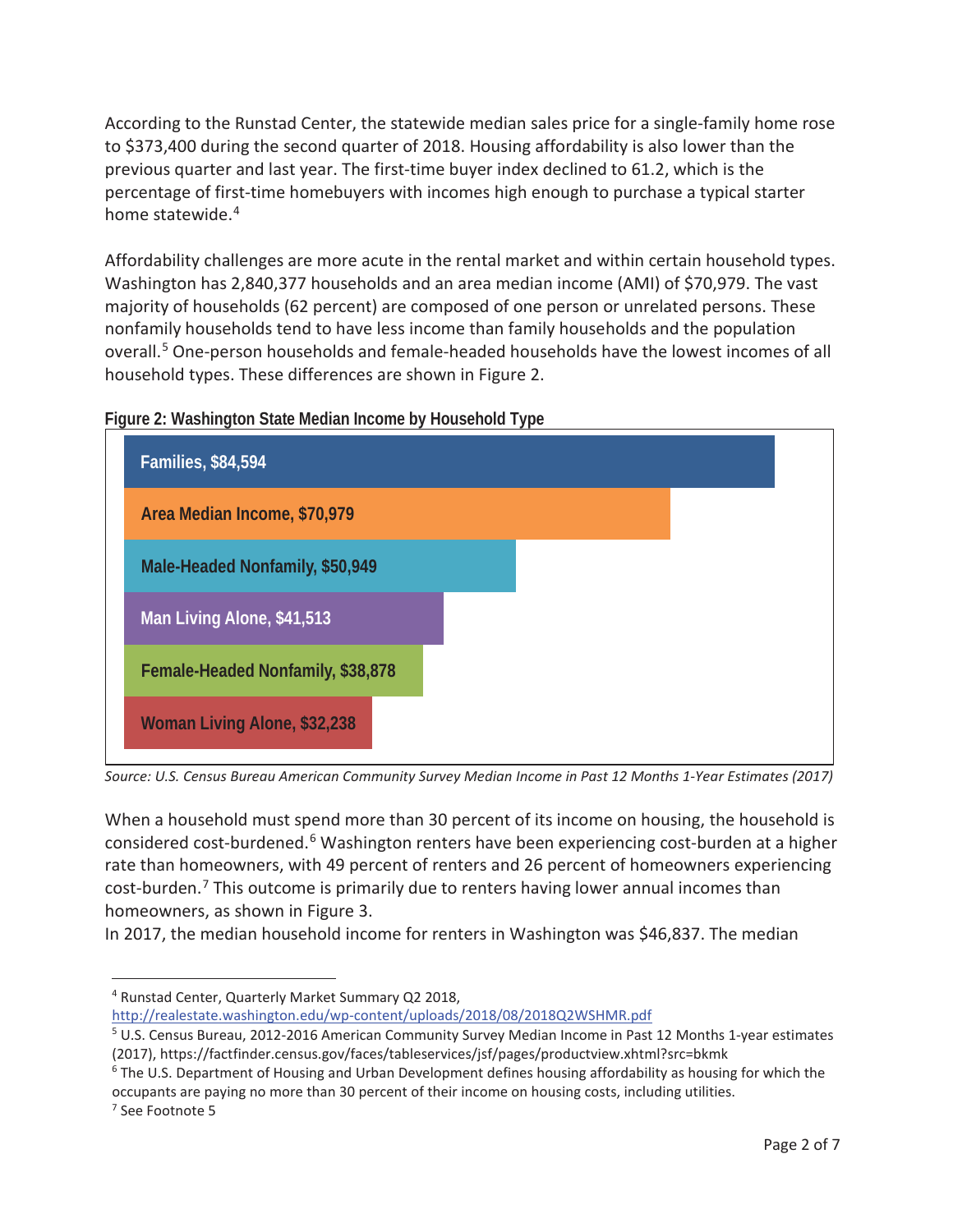According to the Runstad Center, the statewide median sales price for a single-family home rose to \$373,400 during the second quarter of 2018. Housing affordability is also lower than the previous quarter and last year. The first-time buyer index declined to 61.2, which is the percentage of first-time homebuyers with incomes high enough to purchase a typical starter home statewide.<sup>4</sup>

Affordability challenges are more acute in the rental market and within certain household types. Washington has 2,840,377 households and an area median income (AMI) of \$70,979. The vast majority of households (62 percent) are composed of one person or unrelated persons. These nonfamily households tend to have less income than family households and the population overall.<sup>5</sup> One-person households and female-headed households have the lowest incomes of all household types. These differences are shown in Figure 2.





*Source: U.S. Census Bureau American Community Survey Median Income in Past 12 Months 1-Year Estimates (2017)* 

When a household must spend more than 30 percent of its income on housing, the household is considered cost-burdened.<sup>6</sup> Washington renters have been experiencing cost-burden at a higher rate than homeowners, with 49 percent of renters and 26 percent of homeowners experiencing cost-burden.<sup>7</sup> This outcome is primarily due to renters having lower annual incomes than homeowners, as shown in Figure 3.

In 2017, the median household income for renters in Washington was \$46,837. The median

<sup>7</sup> See Footnote 5

 $\overline{a}$ 

<sup>4</sup> Runstad Center, Quarterly Market Summary Q2 2018, http://realestate.washington.edu/wp-content/uploads/2018/08/2018Q2WSHMR.pdf

<sup>5</sup> U.S. Census Bureau, 2012-2016 American Community Survey Median Income in Past 12 Months 1-year estimates (2017), https://factfinder.census.gov/faces/tableservices/jsf/pages/productview.xhtml?src=bkmk 6

<sup>&</sup>lt;sup>6</sup> The U.S. Department of Housing and Urban Development defines housing affordability as housing for which the occupants are paying no more than 30 percent of their income on housing costs, including utilities. 7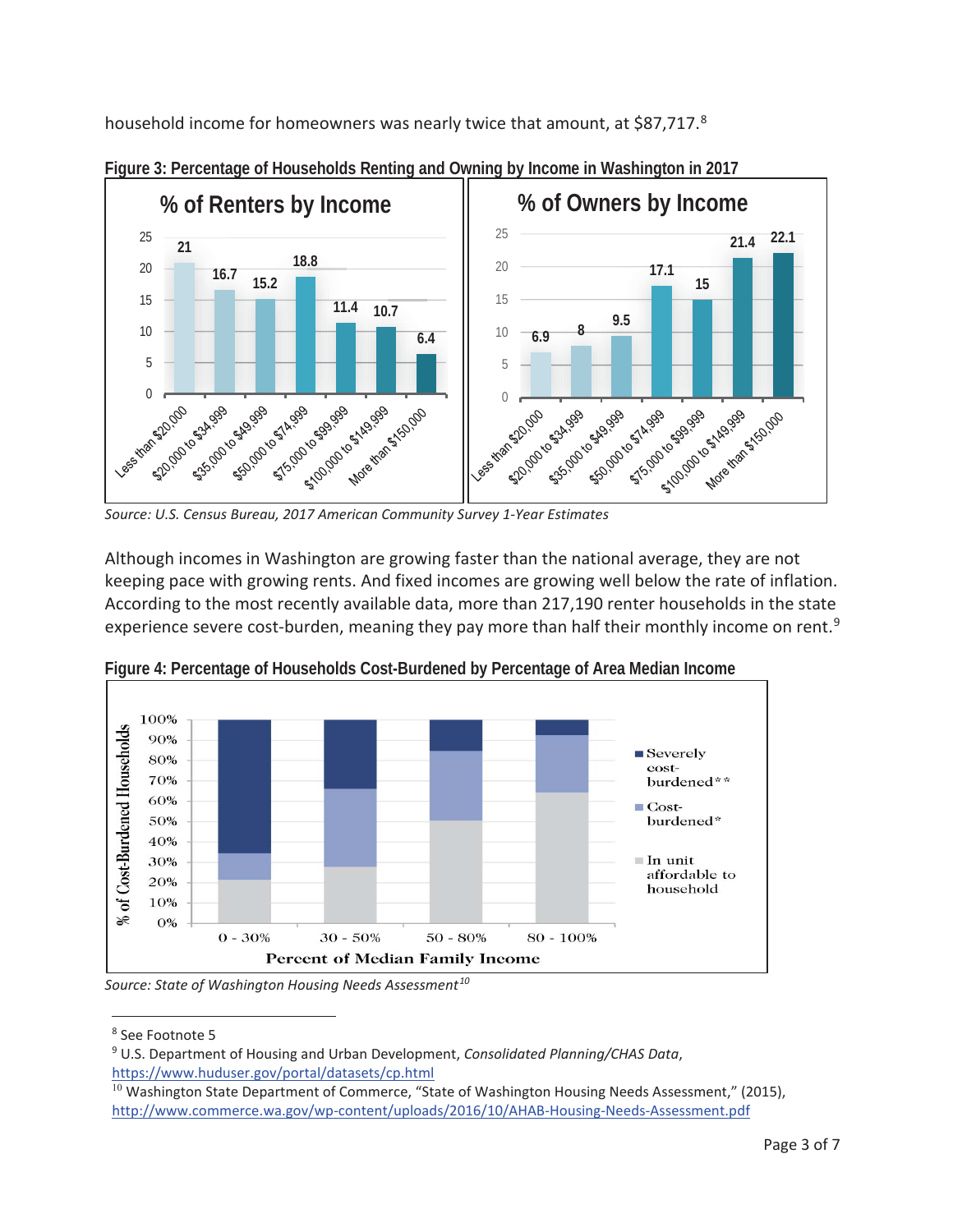household income for homeowners was nearly twice that amount, at \$87,717.8



**Figure 3: Percentage of Households Renting and Owning by Income in Washington in 2017** 

Although incomes in Washington are growing faster than the national average, they are not keeping pace with growing rents. And fixed incomes are growing well below the rate of inflation. According to the most recently available data, more than 217,190 renter households in the state experience severe cost-burden, meaning they pay more than half their monthly income on rent.<sup>9</sup>



**Figure 4: Percentage of Households Cost-Burdened by Percentage of Area Median Income**

Source: State of Washington Housing Needs Assessment<sup>10</sup>

esse Footnote 5<br><sup>8</sup> See Footnote 5

<sup>9</sup> U.S. Department of Housing and Urban Development, *Consolidated Planning/CHAS Data*, https://www.huduser.gov/portal/datasets/cp.html

 $10$  Washington State Department of Commerce, "State of Washington Housing Needs Assessment," (2015), http://www.commerce.wa.gov/wp-content/uploads/2016/10/AHAB-Housing-Needs-Assessment.pdf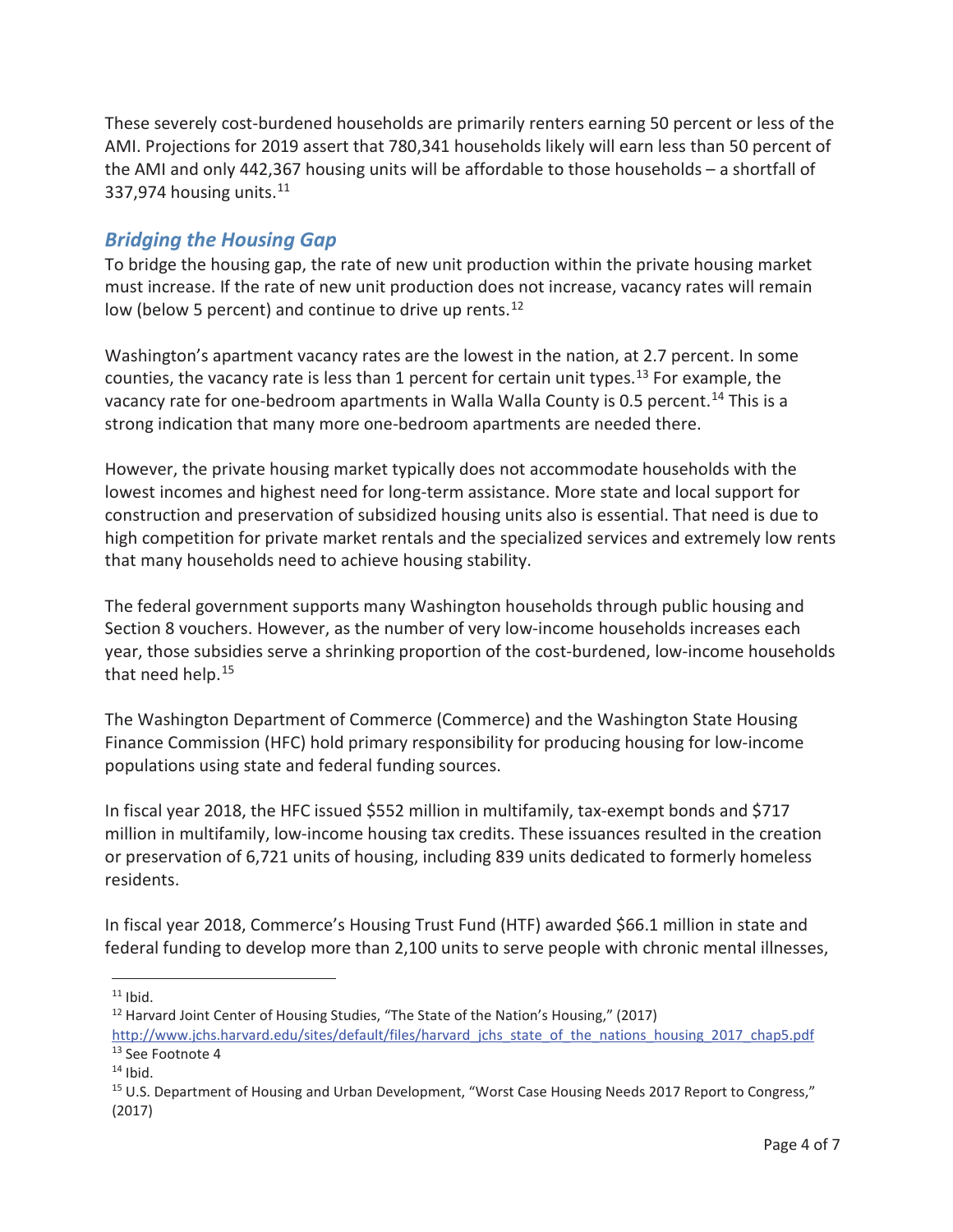These severely cost-burdened households are primarily renters earning 50 percent or less of the AMI. Projections for 2019 assert that 780,341 households likely will earn less than 50 percent of the AMI and only 442,367 housing units will be affordable to those households – a shortfall of 337.974 housing units.  $11$ 

### *Bridging the Housing Gap*

To bridge the housing gap, the rate of new unit production within the private housing market must increase. If the rate of new unit production does not increase, vacancy rates will remain low (below 5 percent) and continue to drive up rents.<sup>12</sup>

Washington's apartment vacancy rates are the lowest in the nation, at 2.7 percent. In some counties, the vacancy rate is less than 1 percent for certain unit types.<sup>13</sup> For example, the vacancy rate for one-bedroom apartments in Walla Walla County is 0.5 percent.<sup>14</sup> This is a strong indication that many more one-bedroom apartments are needed there.

However, the private housing market typically does not accommodate households with the lowest incomes and highest need for long-term assistance. More state and local support for construction and preservation of subsidized housing units also is essential. That need is due to high competition for private market rentals and the specialized services and extremely low rents that many households need to achieve housing stability.

The federal government supports many Washington households through public housing and Section 8 vouchers. However, as the number of very low-income households increases each year, those subsidies serve a shrinking proportion of the cost-burdened, low-income households that need help.<sup>15</sup>

The Washington Department of Commerce (Commerce) and the Washington State Housing Finance Commission (HFC) hold primary responsibility for producing housing for low-income populations using state and federal funding sources.

In fiscal year 2018, the HFC issued \$552 million in multifamily, tax-exempt bonds and \$717 million in multifamily, low-income housing tax credits. These issuances resulted in the creation or preservation of 6,721 units of housing, including 839 units dedicated to formerly homeless residents.

In fiscal year 2018, Commerce's Housing Trust Fund (HTF) awarded \$66.1 million in state and federal funding to develop more than 2,100 units to serve people with chronic mental illnesses,

 $\overline{a}$  $11$  Ibid.

<sup>&</sup>lt;sup>12</sup> Harvard Joint Center of Housing Studies, "The State of the Nation's Housing," (2017) http://www.jchs.harvard.edu/sites/default/files/harvard\_jchs\_state\_of\_the\_nations\_housing\_2017\_chap5.pdf <sup>13</sup> See Footnote 4

 $14$  Ibid.

<sup>&</sup>lt;sup>15</sup> U.S. Department of Housing and Urban Development, "Worst Case Housing Needs 2017 Report to Congress," (2017)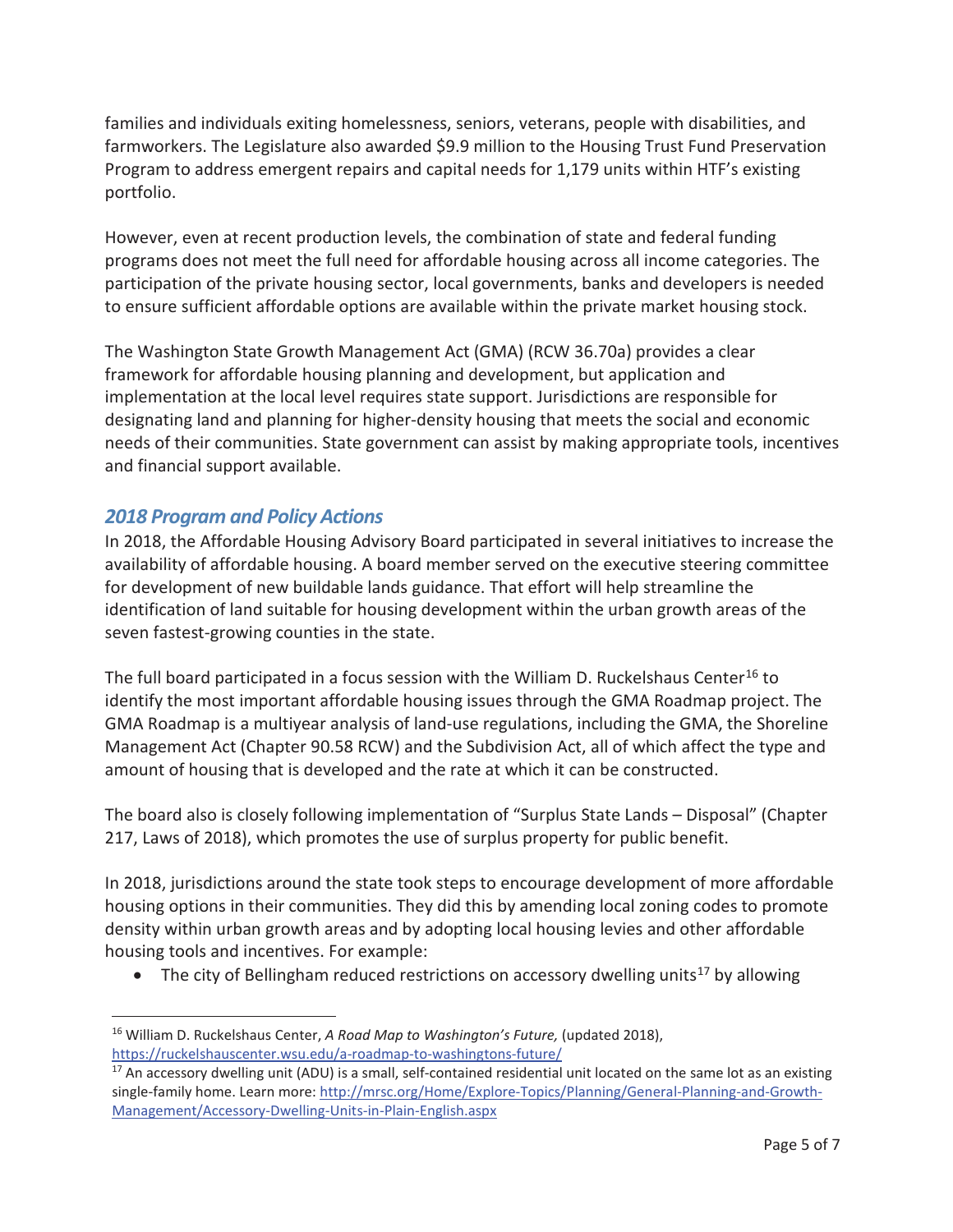families and individuals exiting homelessness, seniors, veterans, people with disabilities, and farmworkers. The Legislature also awarded \$9.9 million to the Housing Trust Fund Preservation Program to address emergent repairs and capital needs for 1,179 units within HTF's existing portfolio.

However, even at recent production levels, the combination of state and federal funding programs does not meet the full need for affordable housing across all income categories. The participation of the private housing sector, local governments, banks and developers is needed to ensure sufficient affordable options are available within the private market housing stock.

The Washington State Growth Management Act (GMA) (RCW 36.70a) provides a clear framework for affordable housing planning and development, but application and implementation at the local level requires state support. Jurisdictions are responsible for designating land and planning for higher-density housing that meets the social and economic needs of their communities. State government can assist by making appropriate tools, incentives and financial support available.

### *2018 Program and Policy Actions*

In 2018, the Affordable Housing Advisory Board participated in several initiatives to increase the availability of affordable housing. A board member served on the executive steering committee for development of new buildable lands guidance. That effort will help streamline the identification of land suitable for housing development within the urban growth areas of the seven fastest-growing counties in the state.

The full board participated in a focus session with the William D. Ruckelshaus Center<sup>16</sup> to identify the most important affordable housing issues through the GMA Roadmap project. The GMA Roadmap is a multiyear analysis of land-use regulations, including the GMA, the Shoreline Management Act (Chapter 90.58 RCW) and the Subdivision Act, all of which affect the type and amount of housing that is developed and the rate at which it can be constructed.

The board also is closely following implementation of "Surplus State Lands – Disposal" (Chapter 217, Laws of 2018), which promotes the use of surplus property for public benefit.

In 2018, jurisdictions around the state took steps to encourage development of more affordable housing options in their communities. They did this by amending local zoning codes to promote density within urban growth areas and by adopting local housing levies and other affordable housing tools and incentives. For example:

• The city of Bellingham reduced restrictions on accessory dwelling units<sup>17</sup> by allowing

 $\overline{a}$ 16 William D. Ruckelshaus Center, *A Road Map to Washington's Future,* (updated 2018), https://ruckelshauscenter.wsu.edu/a-roadmap-to-washingtons-future/

 $17$  An accessory dwelling unit (ADU) is a small, self-contained residential unit located on the same lot as an existing single-family home. Learn more: http://mrsc.org/Home/Explore-Topics/Planning/General-Planning-and-Growth-Management/Accessory-Dwelling-Units-in-Plain-English.aspx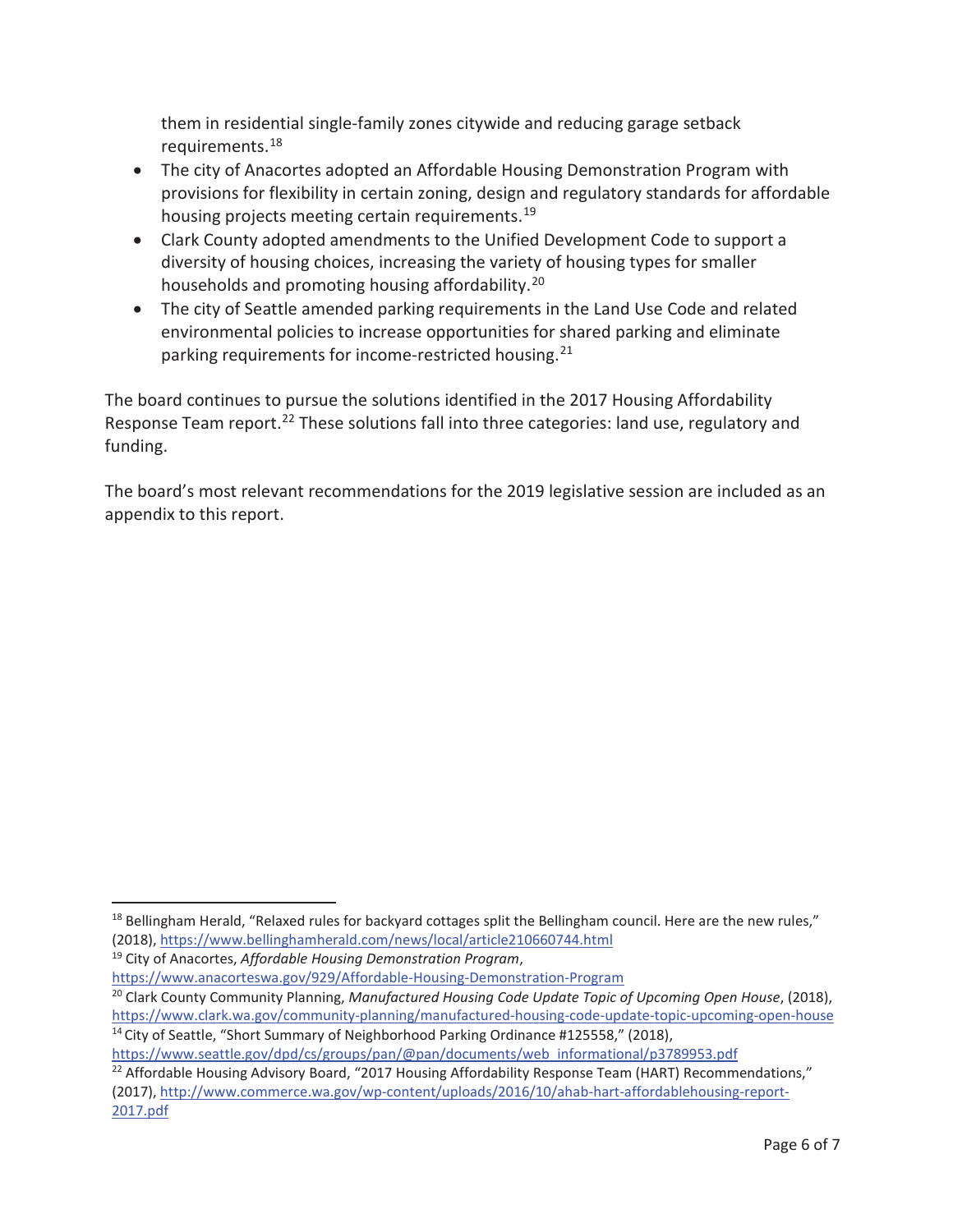them in residential single-family zones citywide and reducing garage setback requirements.18

- The city of Anacortes adopted an Affordable Housing Demonstration Program with provisions for flexibility in certain zoning, design and regulatory standards for affordable housing projects meeting certain requirements.<sup>19</sup>
- Clark County adopted amendments to the Unified Development Code to support a diversity of housing choices, increasing the variety of housing types for smaller households and promoting housing affordability.<sup>20</sup>
- The city of Seattle amended parking requirements in the Land Use Code and related environmental policies to increase opportunities for shared parking and eliminate parking requirements for income-restricted housing.<sup>21</sup>

The board continues to pursue the solutions identified in the 2017 Housing Affordability Response Team report.<sup>22</sup> These solutions fall into three categories: land use, regulatory and funding.

The board's most relevant recommendations for the 2019 legislative session are included as an appendix to this report.

 $\overline{a}$ 

https://www.seattle.gov/dpd/cs/groups/pan/@pan/documents/web\_informational/p3789953.pdf

 $18$  Bellingham Herald, "Relaxed rules for backyard cottages split the Bellingham council. Here are the new rules," (2018), https://www.bellinghamherald.com/news/local/article210660744.html

<sup>19</sup> City of Anacortes, *Affordable Housing Demonstration Program*,

https://www.anacorteswa.gov/929/Affordable-Housing-Demonstration-Program

<sup>20</sup> Clark County Community Planning, *Manufactured Housing Code Update Topic of Upcoming Open House*, (2018), https://www.clark.wa.gov/community-planning/manufactured-housing-code-update-topic-upcoming-open-house <sup>14</sup> City of Seattle, "Short Summary of Neighborhood Parking Ordinance #125558," (2018),

<sup>&</sup>lt;sup>22</sup> Affordable Housing Advisory Board, "2017 Housing Affordability Response Team (HART) Recommendations," (2017), http://www.commerce.wa.gov/wp-content/uploads/2016/10/ahab-hart-affordablehousing-report-2017.pdf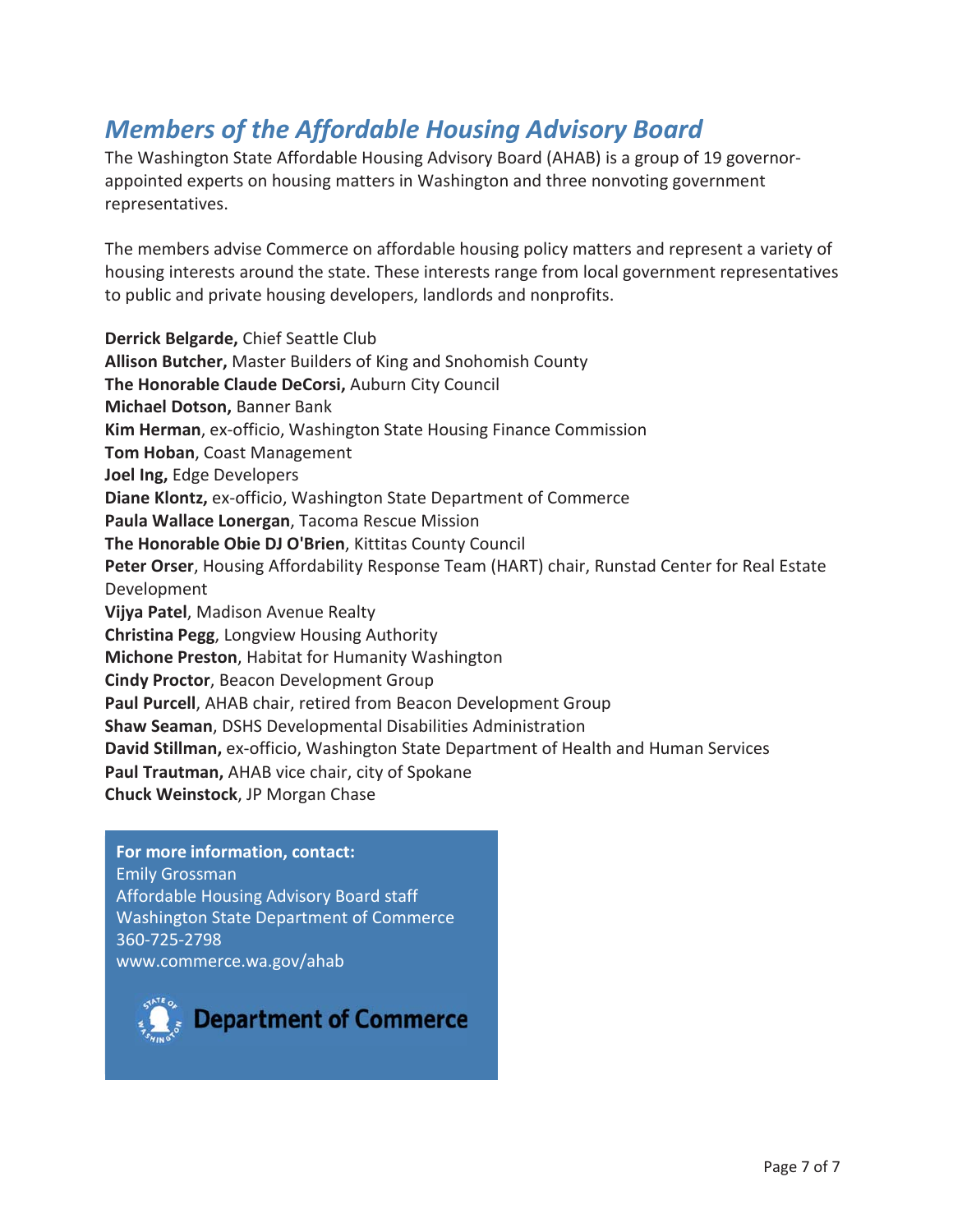## *Members of the Affordable Housing Advisory Board*

The Washington State Affordable Housing Advisory Board (AHAB) is a group of 19 governorappointed experts on housing matters in Washington and three nonvoting government representatives.

The members advise Commerce on affordable housing policy matters and represent a variety of housing interests around the state. These interests range from local government representatives to public and private housing developers, landlords and nonprofits.

**Derrick Belgarde,** Chief Seattle Club **Allison Butcher,** Master Builders of King and Snohomish County **The Honorable Claude DeCorsi,** Auburn City Council **Michael Dotson,** Banner Bank **Kim Herman**, ex-officio, Washington State Housing Finance Commission **Tom Hoban**, Coast Management **Joel Ing,** Edge Developers **Diane Klontz,** ex-officio, Washington State Department of Commerce **Paula Wallace Lonergan**, Tacoma Rescue Mission **The Honorable Obie DJ O'Brien**, Kittitas County Council **Peter Orser**, Housing Affordability Response Team (HART) chair, Runstad Center for Real Estate Development **Vijya Patel**, Madison Avenue Realty **Christina Pegg**, Longview Housing Authority **Michone Preston**, Habitat for Humanity Washington **Cindy Proctor**, Beacon Development Group **Paul Purcell**, AHAB chair, retired from Beacon Development Group **Shaw Seaman**, DSHS Developmental Disabilities Administration **David Stillman,** ex-officio, Washington State Department of Health and Human Services **Paul Trautman,** AHAB vice chair, city of Spokane **Chuck Weinstock**, JP Morgan Chase

**For more information, contact:** Emily Grossman Affordable Housing Advisory Board staff Washington State Department of Commerce 360-725-2798 www.commerce.wa.gov/ahab

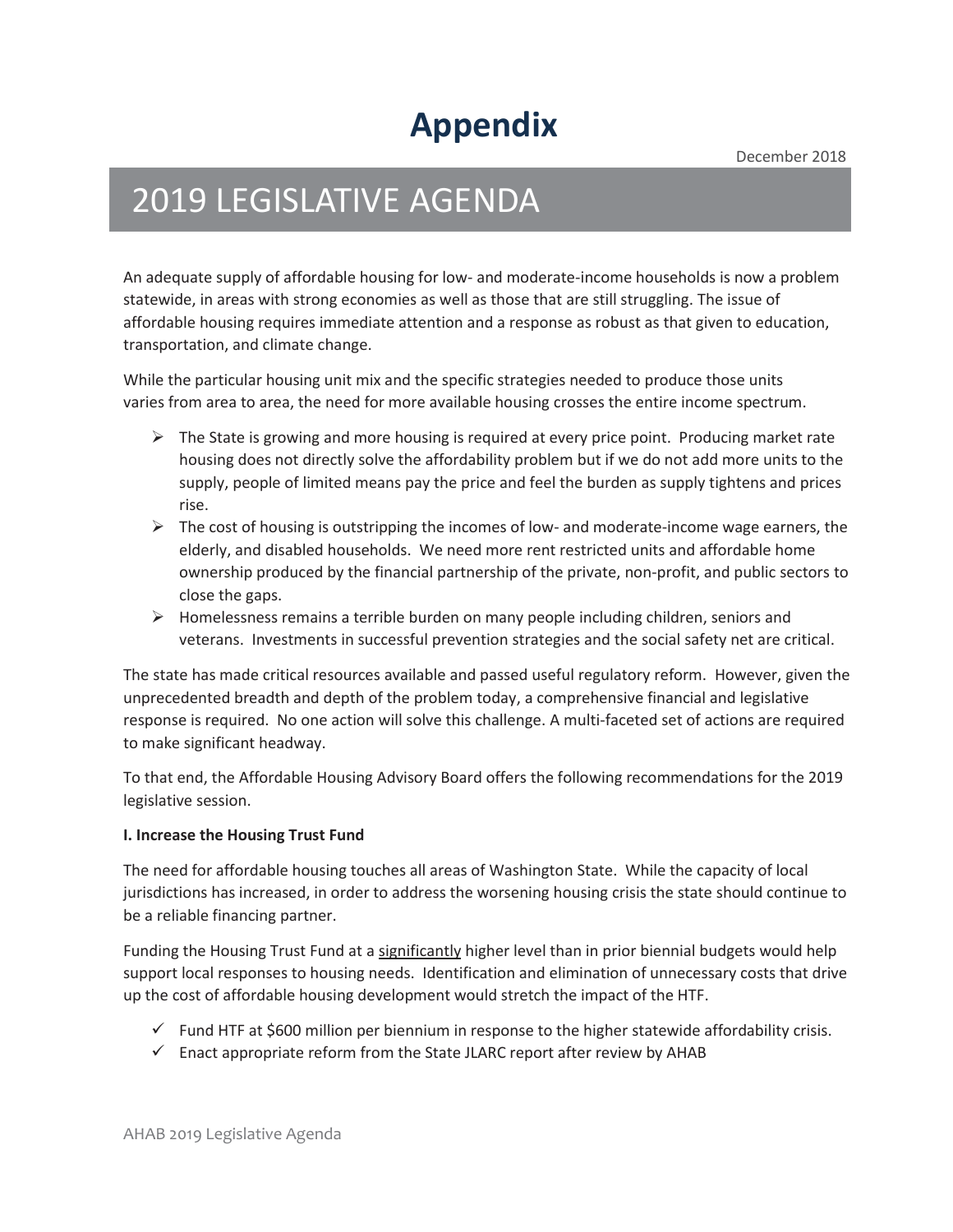# **Appendix**

December 2018

# 2019 LEGISLATIVE AGENDA

An adequate supply of affordable housing for low- and moderate-income households is now a problem statewide, in areas with strong economies as well as those that are still struggling. The issue of affordable housing requires immediate attention and a response as robust as that given to education, transportation, and climate change.

While the particular housing unit mix and the specific strategies needed to produce those units varies from area to area, the need for more available housing crosses the entire income spectrum.

- $\triangleright$  The State is growing and more housing is required at every price point. Producing market rate housing does not directly solve the affordability problem but if we do not add more units to the supply, people of limited means pay the price and feel the burden as supply tightens and prices rise.
- $\triangleright$  The cost of housing is outstripping the incomes of low- and moderate-income wage earners, the elderly, and disabled households. We need more rent restricted units and affordable home ownership produced by the financial partnership of the private, non-profit, and public sectors to close the gaps.
- $\triangleright$  Homelessness remains a terrible burden on many people including children, seniors and veterans. Investments in successful prevention strategies and the social safety net are critical.

The state has made critical resources available and passed useful regulatory reform. However, given the unprecedented breadth and depth of the problem today, a comprehensive financial and legislative response is required. No one action will solve this challenge. A multi-faceted set of actions are required to make significant headway.

To that end, the Affordable Housing Advisory Board offers the following recommendations for the 2019 legislative session.

#### **I. Increase the Housing Trust Fund**

The need for affordable housing touches all areas of Washington State. While the capacity of local jurisdictions has increased, in order to address the worsening housing crisis the state should continue to be a reliable financing partner.

Funding the Housing Trust Fund at a significantly higher level than in prior biennial budgets would help support local responses to housing needs. Identification and elimination of unnecessary costs that drive up the cost of affordable housing development would stretch the impact of the HTF.

- $\checkmark$  Fund HTF at \$600 million per biennium in response to the higher statewide affordability crisis.
- $\checkmark$  Enact appropriate reform from the State JLARC report after review by AHAB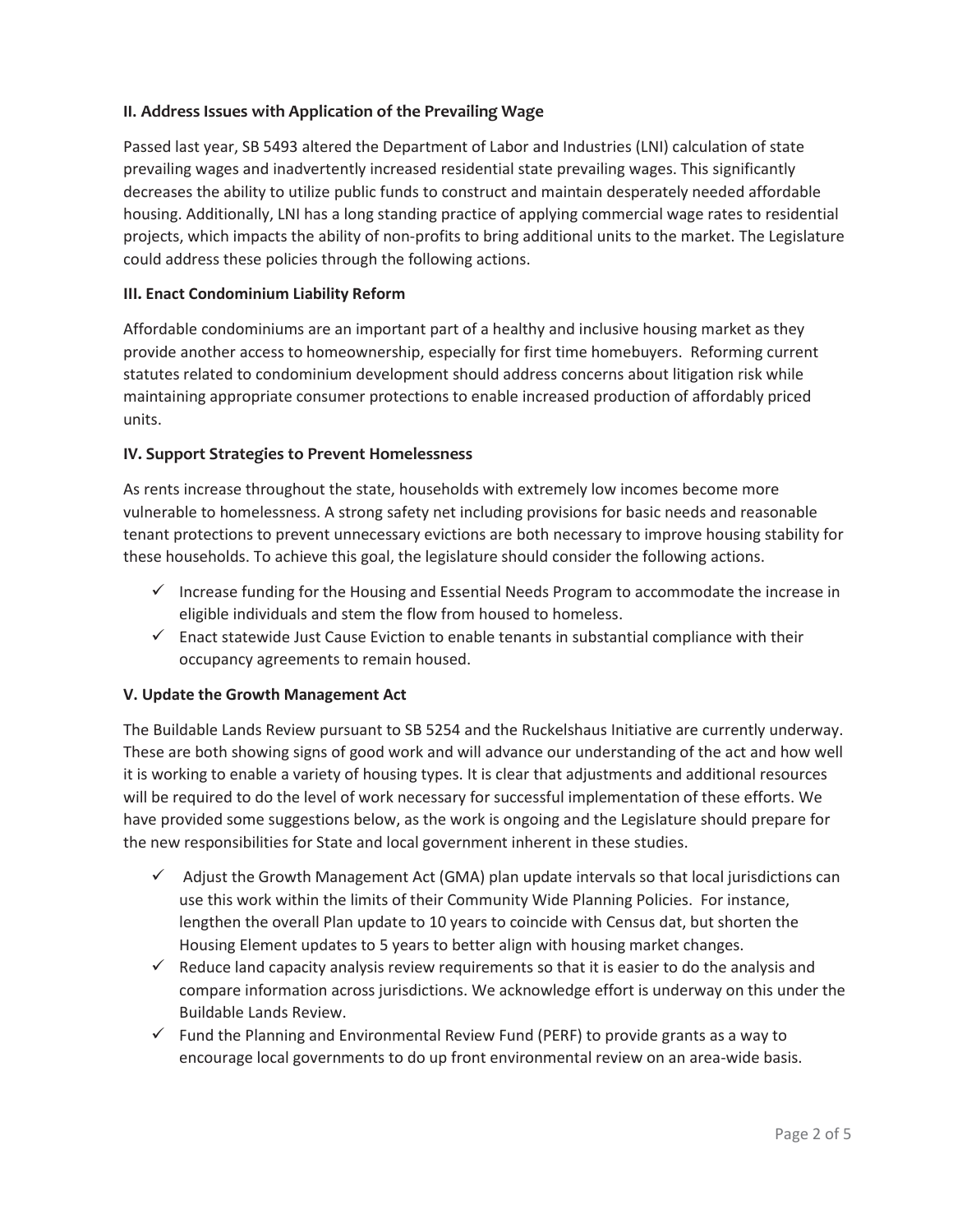#### **II. Address Issues with Application of the Prevailing Wage**

Passed last year, SB 5493 altered the Department of Labor and Industries (LNI) calculation of state prevailing wages and inadvertently increased residential state prevailing wages. This significantly decreases the ability to utilize public funds to construct and maintain desperately needed affordable housing. Additionally, LNI has a long standing practice of applying commercial wage rates to residential projects, which impacts the ability of non-profits to bring additional units to the market. The Legislature could address these policies through the following actions.

#### **III. Enact Condominium Liability Reform**

Affordable condominiums are an important part of a healthy and inclusive housing market as they provide another access to homeownership, especially for first time homebuyers. Reforming current statutes related to condominium development should address concerns about litigation risk while maintaining appropriate consumer protections to enable increased production of affordably priced units.

#### **IV. Support Strategies to Prevent Homelessness**

As rents increase throughout the state, households with extremely low incomes become more vulnerable to homelessness. A strong safety net including provisions for basic needs and reasonable tenant protections to prevent unnecessary evictions are both necessary to improve housing stability for these households. To achieve this goal, the legislature should consider the following actions.

- $\checkmark$  Increase funding for the Housing and Essential Needs Program to accommodate the increase in eligible individuals and stem the flow from housed to homeless.
- $\checkmark$  Enact statewide Just Cause Eviction to enable tenants in substantial compliance with their occupancy agreements to remain housed.

#### **V. Update the Growth Management Act**

The Buildable Lands Review pursuant to SB 5254 and the Ruckelshaus Initiative are currently underway. These are both showing signs of good work and will advance our understanding of the act and how well it is working to enable a variety of housing types. It is clear that adjustments and additional resources will be required to do the level of work necessary for successful implementation of these efforts. We have provided some suggestions below, as the work is ongoing and the Legislature should prepare for the new responsibilities for State and local government inherent in these studies.

- $\checkmark$  Adjust the Growth Management Act (GMA) plan update intervals so that local jurisdictions can use this work within the limits of their Community Wide Planning Policies. For instance, lengthen the overall Plan update to 10 years to coincide with Census dat, but shorten the Housing Element updates to 5 years to better align with housing market changes.
- $\checkmark$  Reduce land capacity analysis review requirements so that it is easier to do the analysis and compare information across jurisdictions. We acknowledge effort is underway on this under the Buildable Lands Review.
- $\checkmark$  Fund the Planning and Environmental Review Fund (PERF) to provide grants as a way to encourage local governments to do up front environmental review on an area-wide basis.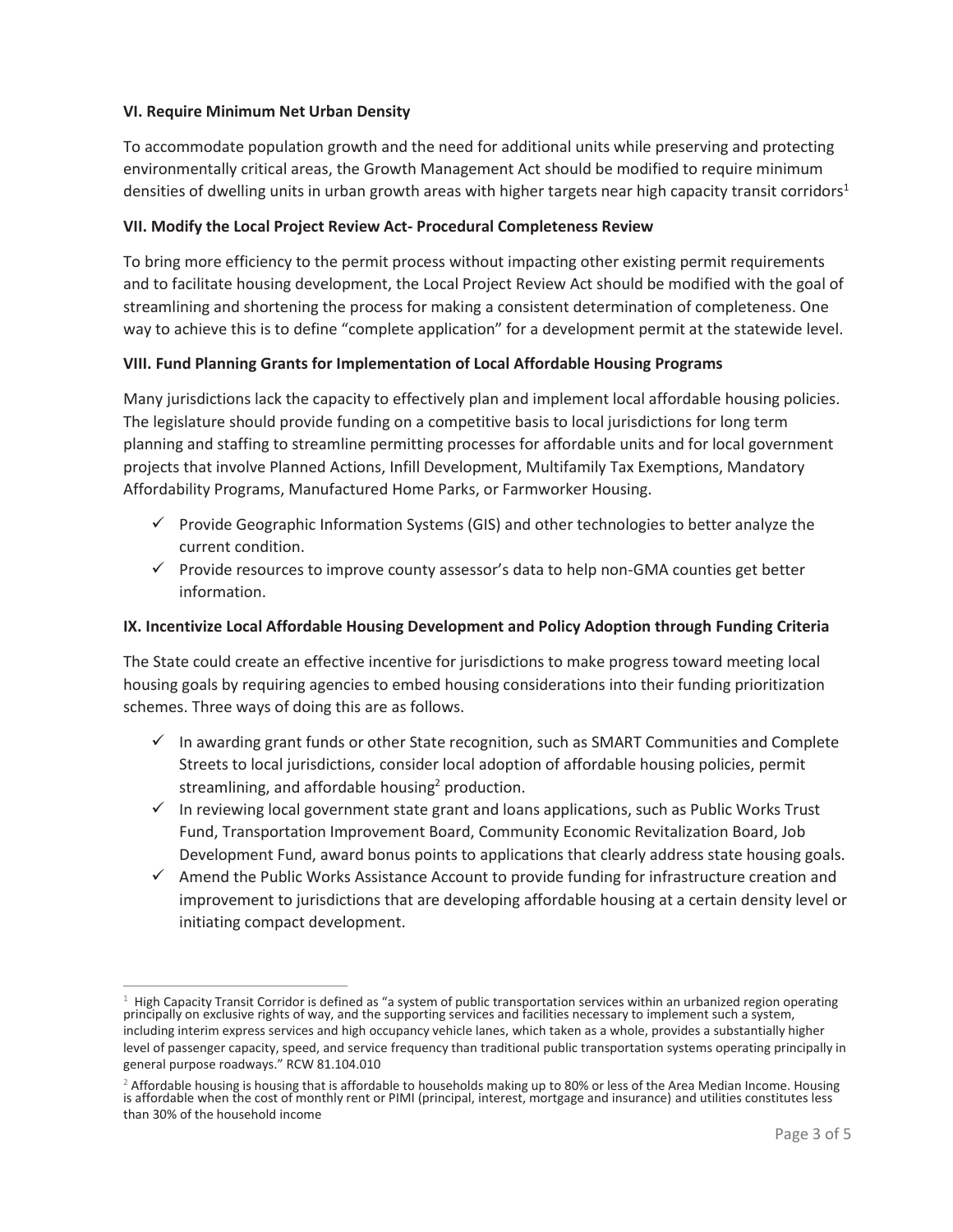#### **VI. Require Minimum Net Urban Density**

To accommodate population growth and the need for additional units while preserving and protecting environmentally critical areas, the Growth Management Act should be modified to require minimum densities of dwelling units in urban growth areas with higher targets near high capacity transit corridors<sup>1</sup>

#### **VII. Modify the Local Project Review Act- Procedural Completeness Review**

To bring more efficiency to the permit process without impacting other existing permit requirements and to facilitate housing development, the Local Project Review Act should be modified with the goal of streamlining and shortening the process for making a consistent determination of completeness. One way to achieve this is to define "complete application" for a development permit at the statewide level.

#### **VIII. Fund Planning Grants for Implementation of Local Affordable Housing Programs**

Many jurisdictions lack the capacity to effectively plan and implement local affordable housing policies. The legislature should provide funding on a competitive basis to local jurisdictions for long term planning and staffing to streamline permitting processes for affordable units and for local government projects that involve Planned Actions, Infill Development, Multifamily Tax Exemptions, Mandatory Affordability Programs, Manufactured Home Parks, or Farmworker Housing.

- $\checkmark$  Provide Geographic Information Systems (GIS) and other technologies to better analyze the current condition.
- $\checkmark$  Provide resources to improve county assessor's data to help non-GMA counties get better information.

#### **IX. Incentivize Local Affordable Housing Development and Policy Adoption through Funding Criteria**

The State could create an effective incentive for jurisdictions to make progress toward meeting local housing goals by requiring agencies to embed housing considerations into their funding prioritization schemes. Three ways of doing this are as follows.

- $\checkmark$  In awarding grant funds or other State recognition, such as SMART Communities and Complete Streets to local jurisdictions, consider local adoption of affordable housing policies, permit streamlining, and affordable housing<sup>2</sup> production.
- $\checkmark$  In reviewing local government state grant and loans applications, such as Public Works Trust Fund, Transportation Improvement Board, Community Economic Revitalization Board, Job Development Fund, award bonus points to applications that clearly address state housing goals.
- $\checkmark$  Amend the Public Works Assistance Account to provide funding for infrastructure creation and improvement to jurisdictions that are developing affordable housing at a certain density level or initiating compact development.

<sup>&</sup>lt;sup>1</sup> High Capacity Transit Corridor is defined as "a system of public transportation services within an urbanized region operating principally on exclusive rights of way, and the supporting services and facilities necessar including interim express services and high occupancy vehicle lanes, which taken as a whole, provides a substantially higher level of passenger capacity, speed, and service frequency than traditional public transportation systems operating principally in general purpose roadways." RCW 81.104.010

<sup>&</sup>lt;sup>2</sup> Affordable housing is housing that is affordable to households making up to 80% or less of the Area Median Income. Housing is affordable when the cost of monthly rent or PIMI (principal, interest, mortgage and insuranc than 30% of the household income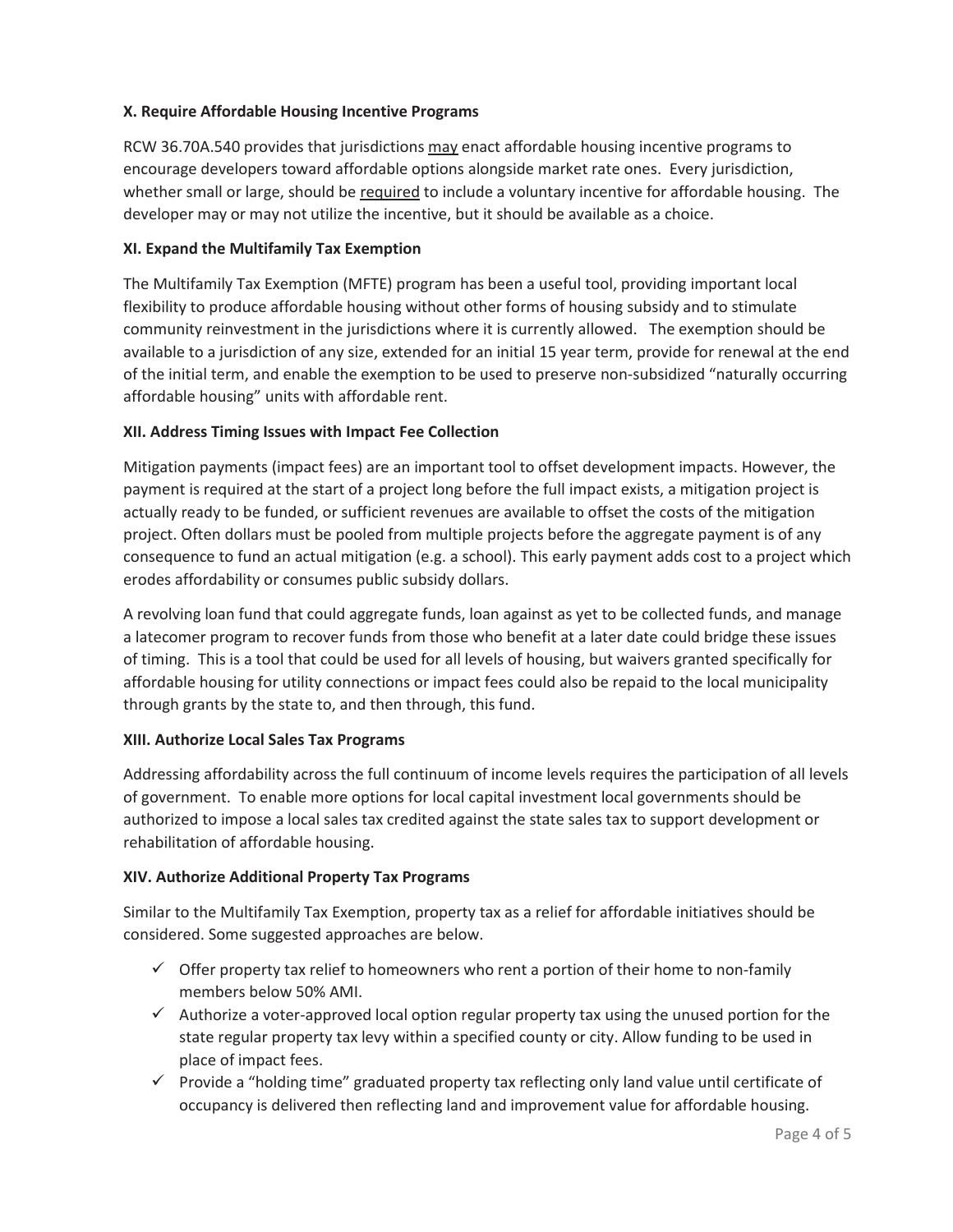#### **X. Require Affordable Housing Incentive Programs**

RCW 36.70A.540 provides that jurisdictions may enact affordable housing incentive programs to encourage developers toward affordable options alongside market rate ones. Every jurisdiction, whether small or large, should be required to include a voluntary incentive for affordable housing. The developer may or may not utilize the incentive, but it should be available as a choice.

#### **XI. Expand the Multifamily Tax Exemption**

The Multifamily Tax Exemption (MFTE) program has been a useful tool, providing important local flexibility to produce affordable housing without other forms of housing subsidy and to stimulate community reinvestment in the jurisdictions where it is currently allowed. The exemption should be available to a jurisdiction of any size, extended for an initial 15 year term, provide for renewal at the end of the initial term, and enable the exemption to be used to preserve non-subsidized "naturally occurring affordable housing" units with affordable rent.

#### **XII. Address Timing Issues with Impact Fee Collection**

Mitigation payments (impact fees) are an important tool to offset development impacts. However, the payment is required at the start of a project long before the full impact exists, a mitigation project is actually ready to be funded, or sufficient revenues are available to offset the costs of the mitigation project. Often dollars must be pooled from multiple projects before the aggregate payment is of any consequence to fund an actual mitigation (e.g. a school). This early payment adds cost to a project which erodes affordability or consumes public subsidy dollars.

A revolving loan fund that could aggregate funds, loan against as yet to be collected funds, and manage a latecomer program to recover funds from those who benefit at a later date could bridge these issues of timing. This is a tool that could be used for all levels of housing, but waivers granted specifically for affordable housing for utility connections or impact fees could also be repaid to the local municipality through grants by the state to, and then through, this fund.

#### **XIII. Authorize Local Sales Tax Programs**

Addressing affordability across the full continuum of income levels requires the participation of all levels of government. To enable more options for local capital investment local governments should be authorized to impose a local sales tax credited against the state sales tax to support development or rehabilitation of affordable housing.

#### **XIV. Authorize Additional Property Tax Programs**

Similar to the Multifamily Tax Exemption, property tax as a relief for affordable initiatives should be considered. Some suggested approaches are below.

- $\checkmark$  Offer property tax relief to homeowners who rent a portion of their home to non-family members below 50% AMI.
- $\checkmark$  Authorize a voter-approved local option regular property tax using the unused portion for the state regular property tax levy within a specified county or city. Allow funding to be used in place of impact fees.
- $\checkmark$  Provide a "holding time" graduated property tax reflecting only land value until certificate of occupancy is delivered then reflecting land and improvement value for affordable housing.